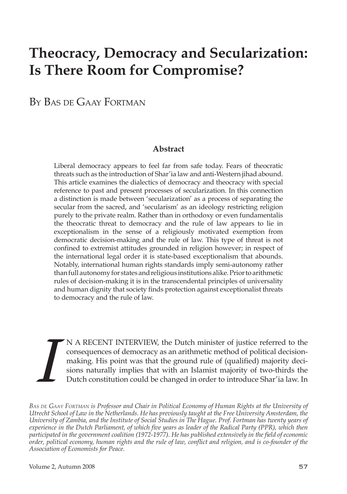# **Theocracy, Democracy and Secularization: Is There Room for Compromise?**

By Bas de Gaay Fortman

## **Abstract**

Liberal democracy appears to feel far from safe today. Fears of theocratic threats such as the introduction of Shar'ia law and anti-Western jihad abound. This article examines the dialectics of democracy and theocracy with special reference to past and present processes of secularization. In this connection a distinction is made between 'secularization' as a process of separating the secular from the sacred, and 'secularism' as an ideology restricting religion purely to the private realm. Rather than in orthodoxy or even fundamentalis the theocratic threat to democracy and the rule of law appears to lie in exceptionalism in the sense of a religiously motivated exemption from democratic decision-making and the rule of law. This type of threat is not confined to extremist attitudes grounded in religion however; in respect of the international legal order it is state-based exceptionalism that abounds. Notably, international human rights standards imply semi-autonomy rather than full autonomy for states and religious institutions alike. Prior to arithmetic rules of decision-making it is in the transcendental principles of universality and human dignity that society finds protection against exceptionalist threats to democracy and the rule of law.

**I** N A RECENT INTERVIEW, the Dutch minister of justice referred to the consequences of democracy as an arithmetic method of political decision-<br>making. His point was that the ground rule of (qualified) majority decisions consequences of democracy as an arithmetic method of political decisionmaking. His point was that the ground rule of (qualified) majority decisions naturally implies that with an Islamist majority of two-thirds the Dutch constitution could be changed in order to introduce Shar'ia law. In

*Bas de Gaay Fortman is Professor and Chair in Political Economy of Human Rights at the University of Utrecht School of Law in the Netherlands. He has previously taught at the Free University Amsterdam, the University of Zambia, and the Institute of Social Studies in The Hague. Prof. Fortman has twenty years of experience in the Dutch Parliament, of which five years as leader of the Radical Party (PPR), which then participated in the government coalition (1972-1977). He has published extensively in the field of economic order, political economy, human rights and the rule of law, conflict and religion, and is co-founder of the Association of Economists for Peace.*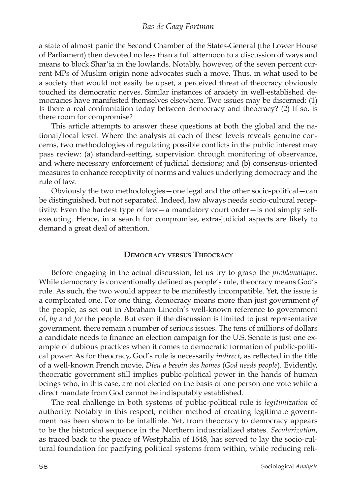#### *Bas de Gaay Fortman*

a state of almost panic the Second Chamber of the States-General (the Lower House of Parliament) then devoted no less than a full afternoon to a discussion of ways and means to block Shar'ia in the lowlands. Notably, however, of the seven percent current MPs of Muslim origin none advocates such a move. Thus, in what used to be a society that would not easily be upset, a perceived threat of theocracy obviously touched its democratic nerves. Similar instances of anxiety in well-established democracies have manifested themselves elsewhere. Two issues may be discerned: (1) Is there a real confrontation today between democracy and theocracy? (2) If so, is there room for compromise?

This article attempts to answer these questions at both the global and the national/local level. Where the analysis at each of these levels reveals genuine concerns, two methodologies of regulating possible conflicts in the public interest may pass review: (a) standard-setting, supervision through monitoring of observance, and where necessary enforcement of judicial decisions; and (b) consensus-oriented measures to enhance receptivity of norms and values underlying democracy and the rule of law.

Obviously the two methodologies—one legal and the other socio-political—can be distinguished, but not separated. Indeed, law always needs socio-cultural receptivity. Even the hardest type of law—a mandatory court order—is not simply selfexecuting. Hence, in a search for compromise, extra-judicial aspects are likely to demand a great deal of attention.

## **Democracy versus Theocracy**

Before engaging in the actual discussion, let us try to grasp the *problematique*. While democracy is conventionally defined as people's rule, theocracy means God's rule. As such, the two would appear to be manifestly incompatible. Yet, the issue is a complicated one. For one thing, democracy means more than just government *of* the people, as set out in Abraham Lincoln's well-known reference to government of, *by* and *for* the people. But even if the discussion is limited to just representative government, there remain a number of serious issues. The tens of millions of dollars a candidate needs to finance an election campaign for the U.S. Senate is just one example of dubious practices when it comes to democratic formation of public-political power. As for theocracy, God's rule is necessarily *indirect*, as reflected in the title of a well-known French movie, *Dieu a besoin des homes* (*God needs people*). Evidently, theocratic government still implies public-political power in the hands of human beings who, in this case, are not elected on the basis of one person one vote while a direct mandate from God cannot be indisputably established.

The real challenge in both systems of public-political rule is *legitimization* of authority. Notably in this respect, neither method of creating legitimate government has been shown to be infallible. Yet, from theocracy to democracy appears to be the historical sequence in the Northern industrialized states. *Secularization*, as traced back to the peace of Westphalia of 1648, has served to lay the socio-cultural foundation for pacifying political systems from within, while reducing reli-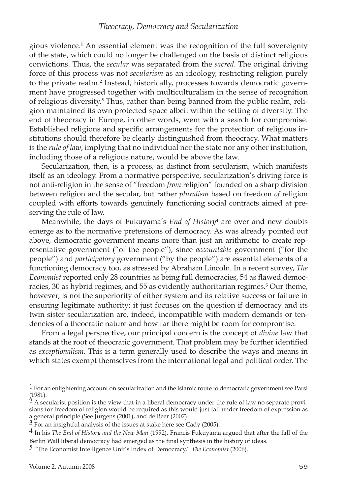gious violence. An essential element was the recognition of the full sovereignty of the state, which could no longer be challenged on the basis of distinct religious convictions. Thus, the *secular* was separated from the *sacred*. The original driving force of this process was not *secularism* as an ideology, restricting religion purely to the private realm.<sup>2</sup> Instead, historically, processes towards democratic government have progressed together with multiculturalism in the sense of recognition of religious diversity.<sup>3</sup> Thus, rather than being banned from the public realm, religion maintained its own protected space albeit within the setting of diversity. The end of theocracy in Europe, in other words, went with a search for compromise. Established religions and specific arrangements for the protection of religious institutions should therefore be clearly distinguished from theocracy. What matters is the *rule of law*, implying that no individual nor the state nor any other institution, including those of a religious nature, would be above the law.

Secularization, then, is a process, as distinct from secularism, which manifests itself as an ideology. From a normative perspective, secularization's driving force is not anti-religion in the sense of "freedom *from* religion" founded on a sharp division between religion and the secular, but rather *pluralism* based on freedom *of* religion coupled with efforts towards genuinely functioning social contracts aimed at preserving the rule of law.

Meanwhile, the days of Fukuyama's *End of History* are over and new doubts emerge as to the normative pretensions of democracy. As was already pointed out above, democratic government means more than just an arithmetic to create representative government ("of the people"), since *accountable* government ("for the people") and *participatory* government ("by the people") are essential elements of a functioning democracy too, as stressed by Abraham Lincoln. In a recent survey, *The Economist* reported only 28 countries as being full democracies, 54 as flawed democracies, 30 as hybrid regimes, and 55 as evidently authoritarian regimes.<sup>5</sup> Our theme, however, is not the superiority of either system and its relative success or failure in ensuring legitimate authority; it just focuses on the question if democracy and its twin sister secularization are, indeed, incompatible with modern demands or tendencies of a theocratic nature and how far there might be room for compromise.

From a legal perspective, our principal concern is the concept of *divine* law that stands at the root of theocratic government. That problem may be further identified as *exceptionalism*. This is a term generally used to describe the ways and means in which states exempt themselves from the international legal and political order. The

<sup>&</sup>lt;sup>1</sup> For an enlightening account on secularization and the Islamic route to democratic government see Parsi (1981).

 $2A$  secularist position is the view that in a liberal democracy under the rule of law no separate provisions for freedom of religion would be required as this would just fall under freedom of expression as a general principle (See Jurgens (2001), and de Beer (2007).

 $3$  For an insightful analysis of the issues at stake here see Cady (2005).

In his *The End of History and the New Man* (1992), Francis Fukuyama argued that after the fall of the Berlin Wall liberal democracy had emerged as the final synthesis in the history of ideas.

 <sup>&</sup>quot;The Economist Intelligence Unit's Index of Democracy," *The Economist* (2006).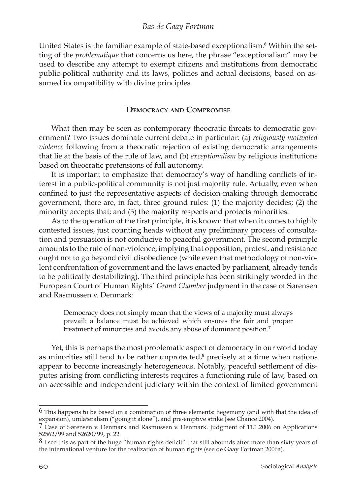United States is the familiar example of state-based exceptionalism.<sup>6</sup> Within the setting of the *problematique* that concerns us here, the phrase "exceptionalism" may be used to describe any attempt to exempt citizens and institutions from democratic public-political authority and its laws, policies and actual decisions, based on assumed incompatibility with divine principles.

## **Democracy and Compromise**

What then may be seen as contemporary theocratic threats to democratic government? Two issues dominate current debate in particular: (a) *religiously motivated violence* following from a theocratic rejection of existing democratic arrangements that lie at the basis of the rule of law, and (b) *exceptionalism* by religious institutions based on theocratic pretensions of full autonomy.

It is important to emphasize that democracy's way of handling conflicts of interest in a public-political community is not just majority rule. Actually, even when confined to just the representative aspects of decision-making through democratic government, there are, in fact, three ground rules: (1) the majority decides; (2) the minority accepts that; and (3) the majority respects and protects minorities.

As to the operation of the first principle, it is known that when it comes to highly contested issues, just counting heads without any preliminary process of consultation and persuasion is not conducive to peaceful government. The second principle amounts to the rule of non-violence, implying that opposition, protest, and resistance ought not to go beyond civil disobedience (while even that methodology of non-violent confrontation of government and the laws enacted by parliament, already tends to be politically destabilizing). The third principle has been strikingly worded in the European Court of Human Rights' *Grand Chamber* judgment in the case of Sørensen and Rasmussen v. Denmark:

Democracy does not simply mean that the views of a majority must always prevail: a balance must be achieved which ensures the fair and proper treatment of minorities and avoids any abuse of dominant position.

Yet, this is perhaps the most problematic aspect of democracy in our world today as minorities still tend to be rather unprotected,<sup>8</sup> precisely at a time when nations appear to become increasingly heterogeneous. Notably, peaceful settlement of disputes arising from conflicting interests requires a functioning rule of law, based on an accessible and independent judiciary within the context of limited government

This happens to be based on a combination of three elements: hegemony (and with that the idea of expansion), unilateralism ("going it alone"), and pre-emptive strike (see Chance 2004).

 $\frac{7}{1}$  Case of Sørensen v. Denmark and Rasmussen v. Denmark. Judgment of 11.1.2006 on Applications 52562/99 and 52620/99, p. 22.

<sup>&</sup>lt;sup>8</sup> I see this as part of the huge "human rights deficit" that still abounds after more than sixty years of the international venture for the realization of human rights (see de Gaay Fortman 2006a).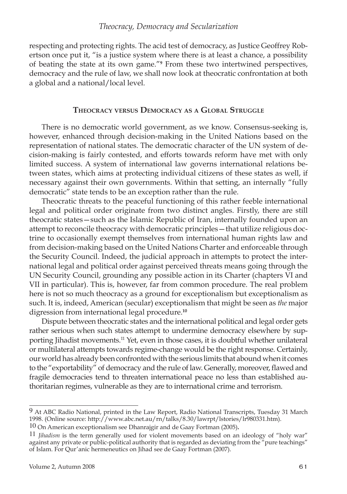respecting and protecting rights. The acid test of democracy, as Justice Geoffrey Robertson once put it, "is a justice system where there is at least a chance, a possibility of beating the state at its own game." From these two intertwined perspectives, democracy and the rule of law, we shall now look at theocratic confrontation at both a global and a national/local level.

# **Theocracy versus Democracy as a Global Struggle**

There is no democratic world government, as we know. Consensus-seeking is, however, enhanced through decision-making in the United Nations based on the representation of national states. The democratic character of the UN system of decision-making is fairly contested, and efforts towards reform have met with only limited success. A system of international law governs international relations between states, which aims at protecting individual citizens of these states as well, if necessary against their own governments. Within that setting, an internally "fully democratic" state tends to be an exception rather than the rule.

Theocratic threats to the peaceful functioning of this rather feeble international legal and political order originate from two distinct angles. Firstly, there are still theocratic states—such as the Islamic Republic of Iran, internally founded upon an attempt to reconcile theocracy with democratic principles—that utilize religious doctrine to occasionally exempt themselves from international human rights law and from decision-making based on the United Nations Charter and enforceable through the Security Council. Indeed, the judicial approach in attempts to protect the international legal and political order against perceived threats means going through the UN Security Council, grounding any possible action in its Charter (chapters VI and VII in particular). This is, however, far from common procedure. The real problem here is not so much theocracy as a ground for exceptionalism but exceptionalism as such. It is, indeed, American (secular) exceptionalism that might be seen as *the* major digression from international legal procedure.**<sup>10</sup>**

Dispute between theocratic states and the international political and legal order gets rather serious when such states attempt to undermine democracy elsewhere by supporting Jihadist movements.<sup>11</sup> Yet, even in those cases, it is doubtful whether unilateral or multilateral attempts towards regime-change would be the right response. Certainly, our world has already been confronted with the serious limits that abound when it comes to the "exportability" of democracy and the rule of law. Generally, moreover, flawed and fragile democracies tend to threaten international peace no less than established authoritarian regimes, vulnerable as they are to international crime and terrorism.

At ABC Radio National, printed in the Law Report, Radio National Transcripts, Tuesday 31 March 1998. (Online source: http://www.abc.net.au/rn/talks/8.30/lawrpt/lstories/lr980331.htm).

<sup>10</sup> On American exceptionalism see Dhanrajgir and de Gaay Fortman (2005)**.**

<sup>11</sup> *Jihadism* is the term generally used for violent movements based on an ideology of "holy war" against any private or public-political authority that is regarded as deviating from the "pure teachings" of Islam. For Qur'anic hermeneutics on Jihad see de Gaay Fortman (2007).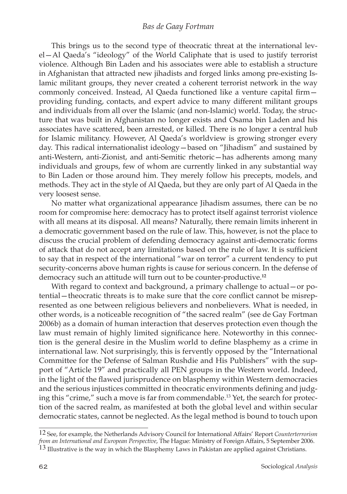## *Bas de Gaay Fortman*

This brings us to the second type of theocratic threat at the international level—Al Qaeda's "ideology" of the World Caliphate that is used to justify terrorist violence. Although Bin Laden and his associates were able to establish a structure in Afghanistan that attracted new jihadists and forged links among pre-existing Islamic militant groups, they never created a coherent terrorist network in the way commonly conceived. Instead, Al Qaeda functioned like a venture capital firm providing funding, contacts, and expert advice to many different militant groups and individuals from all over the Islamic (and non-Islamic) world. Today, the structure that was built in Afghanistan no longer exists and Osama bin Laden and his associates have scattered, been arrested, or killed. There is no longer a central hub for Islamic militancy. However, Al Qaeda's worldview is growing stronger every day. This radical internationalist ideology—based on "Jihadism" and sustained by anti-Western, anti-Zionist, and anti-Semitic rhetoric—has adherents among many individuals and groups, few of whom are currently linked in any substantial way to Bin Laden or those around him. They merely follow his precepts, models, and methods. They act in the style of Al Qaeda, but they are only part of Al Qaeda in the very loosest sense.

No matter what organizational appearance Jihadism assumes, there can be no room for compromise here: democracy has to protect itself against terrorist violence with all means at its disposal. All means? Naturally, there remain limits inherent in a democratic government based on the rule of law. This, however, is not the place to discuss the crucial problem of defending democracy against anti-democratic forms of attack that do not accept any limitations based on the rule of law. It is sufficient to say that in respect of the international "war on terror" a current tendency to put security-concerns above human rights is cause for serious concern. In the defense of democracy such an attitude will turn out to be counter-productive.**<sup>12</sup>**

With regard to context and background, a primary challenge to actual—or potential—theocratic threats is to make sure that the core conflict cannot be misrepresented as one between religious believers and nonbelievers. What is needed, in other words, is a noticeable recognition of "the sacred realm" (see de Gay Fortman 2006b) as a domain of human interaction that deserves protection even though the law must remain of highly limited significance here. Noteworthy in this connection is the general desire in the Muslim world to define blasphemy as a crime in international law. Not surprisingly, this is fervently opposed by the "International Committee for the Defense of Salman Rushdie and His Publishers" with the support of "Article 19" and practically all PEN groups in the Western world. Indeed, in the light of the flawed jurisprudence on blasphemy within Western democracies and the serious injustices committed in theocratic environments defining and judging this "crime," such a move is far from commendable.<sup>13</sup> Yet, the search for protection of the sacred realm, as manifested at both the global level and within secular democratic states, cannot be neglected. As the legal method is bound to touch upon

<sup>12</sup> See, for example, the Netherlands Advisory Council for International Affairs' Report *Counterterrorism from an International and European Perspective*, The Hague: Ministry of Foreign Affairs, 5 September 2006. <sup>13</sup> Illustrative is the way in which the Blasphemy Laws in Pakistan are applied against Christians.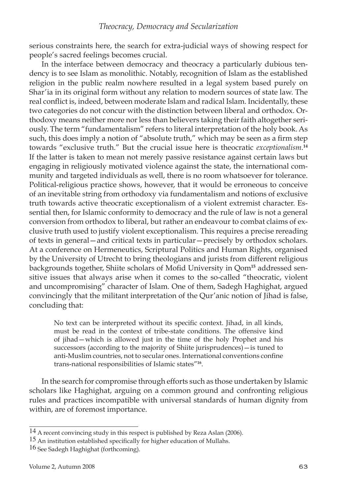serious constraints here, the search for extra-judicial ways of showing respect for people's sacred feelings becomes crucial.

In the interface between democracy and theocracy a particularly dubious tendency is to see Islam as monolithic. Notably, recognition of Islam as the established religion in the public realm nowhere resulted in a legal system based purely on Shar'ia in its original form without any relation to modern sources of state law. The real conflict is, indeed, between moderate Islam and radical Islam. Incidentally, these two categories do not concur with the distinction between liberal and orthodox. Orthodoxy means neither more nor less than believers taking their faith altogether seriously. The term "fundamentalism" refers to literal interpretation of the holy book. As such, this does imply a notion of "absolute truth," which may be seen as a firm step towards "exclusive truth." But the crucial issue here is theocratic *exceptionalism*.<sup>1</sup> If the latter is taken to mean not merely passive resistance against certain laws but engaging in religiously motivated violence against the state, the international community and targeted individuals as well, there is no room whatsoever for tolerance. Political-religious practice shows, however, that it would be erroneous to conceive of an inevitable string from orthodoxy via fundamentalism and notions of exclusive truth towards active theocratic exceptionalism of a violent extremist character. Essential then, for Islamic conformity to democracy and the rule of law is not a general conversion from orthodox to liberal, but rather an endeavour to combat claims of exclusive truth used to justify violent exceptionalism. This requires a precise rereading of texts in general—and critical texts in particular—precisely by orthodox scholars. At a conference on Hermeneutics, Scriptural Politics and Human Rights, organised by the University of Utrecht to bring theologians and jurists from different religious backgrounds together, Shiite scholars of Mofid University in Qom**15** addressed sensitive issues that always arise when it comes to the so-called "theocratic, violent and uncompromising" character of Islam. One of them, Sadegh Haghighat, argued convincingly that the militant interpretation of the Qur'anic notion of Jihad is false, concluding that:

No text can be interpreted without its specific context. Jihad, in all kinds, must be read in the context of tribe-state conditions. The offensive kind of jihad—which is allowed just in the time of the holy Prophet and his successors (according to the majority of Shiite jurisprudences)—is tuned to anti-Muslim countries, not to secular ones. International conventions confine trans-national responsibilities of Islamic states"**<sup>16</sup>**.

In the search for compromise through efforts such as those undertaken by Islamic scholars like Haghighat, arguing on a common ground and confronting religious rules and practices incompatible with universal standards of human dignity from within, are of foremost importance.

<sup>14</sup> A recent convincing study in this respect is published by Reza Aslan (2006).

 $15$  An institution established specifically for higher education of Mullahs.

<sup>16</sup> See Sadegh Haghighat (forthcoming).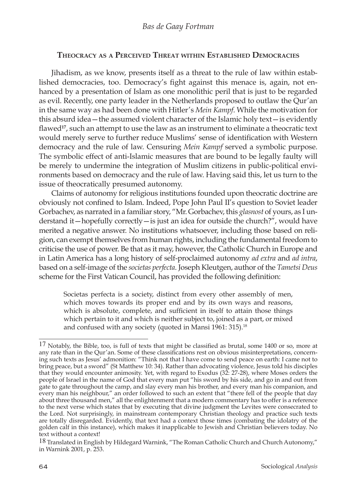# **Theocracy as <sup>a</sup> Perceived Threat within Established Democracies**

Jihadism, as we know, presents itself as a threat to the rule of law within established democracies, too. Democracy's fight against this menace is, again, not enhanced by a presentation of Islam as one monolithic peril that is just to be regarded as evil. Recently, one party leader in the Netherlands proposed to outlaw the Qur'an in the same way as had been done with Hitler's *Mein Kampf*. While the motivation for this absurd idea—the assumed violent character of the Islamic holy text—is evidently flawed**<sup>17</sup>**, such an attempt to use the law as an instrument to eliminate a theocratic text would merely serve to further reduce Muslims' sense of identification with Western democracy and the rule of law. Censuring *Mein Kampf* served a symbolic purpose. The symbolic effect of anti-Islamic measures that are bound to be legally faulty will be merely to undermine the integration of Muslim citizens in public-political environments based on democracy and the rule of law. Having said this, let us turn to the issue of theocratically presumed autonomy.

Claims of autonomy for religious institutions founded upon theocratic doctrine are obviously not confined to Islam. Indeed, Pope John Paul II's question to Soviet leader Gorbachev, as narrated in a familiar story, "Mr. Gorbachev, this *glasnost* of yours, as I understand it—hopefully correctly—is just an idea for outside the church?", would have merited a negative answer. No institutions whatsoever, including those based on religion, can exempt themselves from human rights, including the fundamental freedom to criticise the use of power. Be that as it may, however, the Catholic Church in Europe and in Latin America has a long history of self-proclaimed autonomy *ad extra* and *ad intra*, based on a self-image of the *societas perfecta*. Joseph Kleutgen, author of the *Tametsi Deus* scheme for the First Vatican Council, has provided the following definition:

Societas perfecta is a society, distinct from every other assembly of men, which moves towards its proper end and by its own ways and reasons, which is absolute, complete, and sufficient in itself to attain those things which pertain to it and which is neither subject to, joined as a part, or mixed and confused with any society (quoted in Mansi 1961: 315).<sup>18</sup>

<sup>17</sup> Notably, the Bible, too, is full of texts that might be classified as brutal, some 1400 or so, more at any rate than in the Qur'an. Some of these classifications rest on obvious misinterpretations, concerning such texts as Jesus' admonition: "Think not that I have come to send peace on earth: I came not to bring peace, but a sword" (St Matthew 10: 34). Rather than advocating violence, Jesus told his disciples that they would encounter animosity. Yet, with regard to Exodus (32: 27-28), where Moses orders the people of Israel in the name of God that every man put "his sword by his side, and go in and out from gate to gate throughout the camp, and slay every man his brother, and every man his companion, and every man his neighbour," an order followed to such an extent that "there fell of the people that day about three thousand men," all the enlightenment that a modern commentary has to offer is a reference to the next verse which states that by executing that divine judgment the Levites were consecrated to the Lord. Not surprisingly, in mainstream contemporary Christian theology and practice such texts are totally disregarded. Evidently, that text had a context those times (combating the idolatry of the golden calf in this instance), which makes it inapplicable to Jewish and Christian believers today. No text without a context!

<sup>18</sup> Translated in English by Hildegard Warnink, "The Roman Catholic Church and Church Autonomy," in Warnink 2001, p. 253.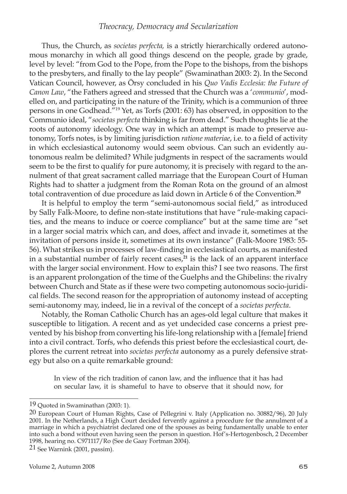## *Theocracy, Democracy and Secularization*

Thus, the Church, as *societas perfecta,* is a strictly hierarchically ordered autonomous monarchy in which all good things descend on the people, grade by grade, level by level: "from God to the Pope, from the Pope to the bishops, from the bishops to the presbyters, and finally to the lay people" (Swaminathan 2003: 2). In the Second Vatican Council, however, as Örsy concluded in his *Quo Vadis Ecclesia: the Future of Canon Law*, "the Fathers agreed and stressed that the Church was a '*communio*', modelled on, and participating in the nature of the Trinity, which is a communion of three persons in one Godhead."19 Yet, as Torfs (2001: 63) has observed, in opposition to the Communio ideal, "*societas perfecta* thinking is far from dead." Such thoughts lie at the roots of autonomy ideology. One way in which an attempt is made to preserve autonomy, Torfs notes, is by limiting jurisdiction *ratione materiae*, i.e. to a field of activity in which ecclesiastical autonomy would seem obvious. Can such an evidently autonomous realm be delimited? While judgments in respect of the sacraments would seem to be the first to qualify for pure autonomy, it is precisely with regard to the annulment of that great sacrament called marriage that the European Court of Human Rights had to shatter a judgment from the Roman Rota on the ground of an almost total contravention of due procedure as laid down in Article 6 of the Convention.**<sup>20</sup>**

It is helpful to employ the term "semi-autonomous social field," as introduced by Sally Falk-Moore, to define non-state institutions that have "rule-making capacities, and the means to induce or coerce compliance" but at the same time are "set in a larger social matrix which can, and does, affect and invade it, sometimes at the invitation of persons inside it, sometimes at its own instance" (Falk-Moore 1983: 55- 56). What strikes us in processes of law-finding in ecclesiastical courts, as manifested in a substantial number of fairly recent cases,**<sup>21</sup>** is the lack of an apparent interface with the larger social environment. How to explain this? I see two reasons. The first is an apparent prolongation of the time of the Guelphs and the Ghibelins: the rivalry between Church and State as if these were two competing autonomous socio-juridical fields. The second reason for the appropriation of autonomy instead of accepting semi-autonomy may, indeed, lie in a revival of the concept of a *societas perfecta*.

Notably, the Roman Catholic Church has an ages-old legal culture that makes it susceptible to litigation. A recent and as yet undecided case concerns a priest prevented by his bishop from converting his life-long relationship with a [female] friend into a civil contract. Torfs, who defends this priest before the ecclesiastical court, deplores the current retreat into *societas perfecta* autonomy as a purely defensive strategy but also on a quite remarkable ground:

In view of the rich tradition of canon law, and the influence that it has had on secular law, it is shameful to have to observe that it should now, for

<sup>19</sup> Quoted in Swaminathan (2003: 1).

<sup>20</sup> European Court of Human Rights, Case of Pellegrini v. Italy (Application no. 30882/96), 20 July 2001. In the Netherlands, a High Court decided fervently against a procedure for the annulment of a marriage in which a psychiatrist declared one of the spouses as being fundamentally unable to enter into such a bond without even having seen the person in question. Hof's-Hertogenbosch, 2 December 1998, hearing no. C971117/Ro (See de Gaay Fortman 2004).

<sup>21</sup> See Warnink (2001, passim).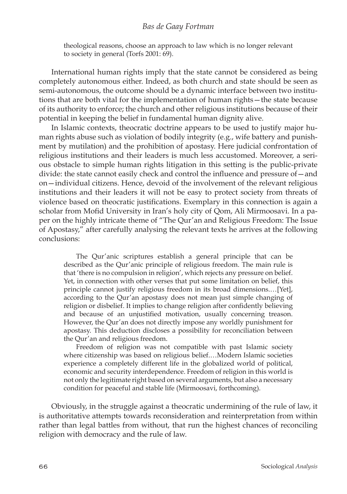## *Bas de Gaay Fortman*

theological reasons, choose an approach to law which is no longer relevant to society in general (Torfs 2001: 69).

International human rights imply that the state cannot be considered as being completely autonomous either. Indeed, as both church and state should be seen as semi-autonomous, the outcome should be a dynamic interface between two institutions that are both vital for the implementation of human rights—the state because of its authority to enforce; the church and other religious institutions because of their potential in keeping the belief in fundamental human dignity alive.

In Islamic contexts, theocratic doctrine appears to be used to justify major human rights abuse such as violation of bodily integrity (e.g., wife battery and punishment by mutilation) and the prohibition of apostasy. Here judicial confrontation of religious institutions and their leaders is much less accustomed. Moreover, a serious obstacle to simple human rights litigation in this setting is the public-private divide: the state cannot easily check and control the influence and pressure of—and on—individual citizens. Hence, devoid of the involvement of the relevant religious institutions and their leaders it will not be easy to protect society from threats of violence based on theocratic justifications. Exemplary in this connection is again a scholar from Mofid University in Iran's holy city of Qom, Ali Mirmoosavi. In a paper on the highly intricate theme of "The Qur'an and Religious Freedom: The Issue of Apostasy," after carefully analysing the relevant texts he arrives at the following conclusions:

The Qur'anic scriptures establish a general principle that can be described as the Qur'anic principle of religious freedom. The main rule is that 'there is no compulsion in religion', which rejects any pressure on belief. Yet, in connection with other verses that put some limitation on belief, this principle cannot justify religious freedom in its broad dimensions.…[Yet], according to the Qur'an apostasy does not mean just simple changing of religion or disbelief. It implies to change religion after confidently believing and because of an unjustified motivation, usually concerning treason. However, the Qur'an does not directly impose any worldly punishment for apostasy. This deduction discloses a possibility for reconciliation between the Qur'an and religious freedom.

Freedom of religion was not compatible with past Islamic society where citizenship was based on religious belief.…Modern Islamic societies experience a completely different life in the globalized world of political, economic and security interdependence. Freedom of religion in this world is not only the legitimate right based on several arguments, but also a necessary condition for peaceful and stable life (Mirmoosavi, forthcoming).

Obviously, in the struggle against a theocratic undermining of the rule of law, it is authoritative attempts towards reconsideration and reinterpretation from within rather than legal battles from without, that run the highest chances of reconciling religion with democracy and the rule of law.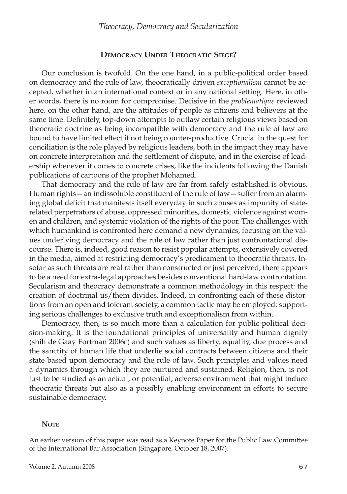## **Democracy Under Theocratic Siege?**

Our conclusion is twofold. On the one hand, in a public-political order based on democracy and the rule of law, theocratically driven *exceptionalism* cannot be accepted, whether in an international context or in any national setting. Here, in other words, there is no room for compromise. Decisive in the *problematique* reviewed here, on the other hand, are the attitudes of people as citizens and believers at the same time. Definitely, top-down attempts to outlaw certain religious views based on theocratic doctrine as being incompatible with democracy and the rule of law are bound to have limited effect if not being counter-productive. Crucial in the quest for conciliation is the role played by religious leaders, both in the impact they may have on concrete interpretation and the settlement of dispute, and in the exercise of leadership whenever it comes to concrete crises, like the incidents following the Danish publications of cartoons of the prophet Mohamed.

That democracy and the rule of law are far from safely established is obvious. Human rights—an indissoluble constituent of the rule of law—suffer from an alarming global deficit that manifests itself everyday in such abuses as impunity of staterelated perpetrators of abuse, oppressed minorities, domestic violence against women and children, and systemic violation of the rights of the poor. The challenges with which humankind is confronted here demand a new dynamics, focusing on the values underlying democracy and the rule of law rather than just confrontational discourse. There is, indeed, good reason to resist popular attempts, extensively covered in the media, aimed at restricting democracy's predicament to theocratic threats. Insofar as such threats are real rather than constructed or just perceived, there appears to be a need for extra-legal approaches besides conventional hard-law confrontation. Secularism and theocracy demonstrate a common methodology in this respect: the creation of doctrinal us/them divides. Indeed, in confronting each of these distortions from an open and tolerant society, a common tactic may be employed: supporting serious challenges to exclusive truth and exceptionalism from within.

Democracy, then, is so much more than a calculation for public-political decision-making. It is the foundational principles of universality and human dignity (shih de Gaay Fortman 2006c) and such values as liberty, equality, due process and the sanctity of human life that underlie social contracts between citizens and their state based upon democracy and the rule of law. Such principles and values need a dynamics through which they are nurtured and sustained. Religion, then, is not just to be studied as an actual, or potential, adverse environment that might induce theocratic threats but also as a possibly enabling environment in efforts to secure sustainable democracy.

#### **NOTE**

An earlier version of this paper was read as a Keynote Paper for the Public Law Committee of the International Bar Association (Singapore, October 18, 2007).